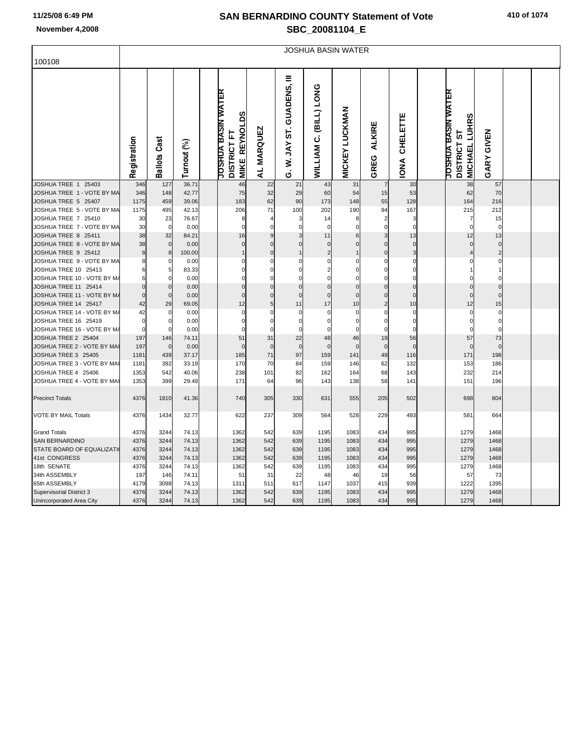## **SAN BERNARDINO COUNTY Statement of Vote November 4,2008 SBC\_20081104\_E**

|                                                   | <b>JOSHUA BASIN WATER</b> |                     |               |  |                                                                                          |                |                               |                                           |                       |                                |                         |  |                                                                               |                      |  |  |
|---------------------------------------------------|---------------------------|---------------------|---------------|--|------------------------------------------------------------------------------------------|----------------|-------------------------------|-------------------------------------------|-----------------------|--------------------------------|-------------------------|--|-------------------------------------------------------------------------------|----------------------|--|--|
| 100108                                            |                           |                     |               |  |                                                                                          |                |                               |                                           |                       |                                |                         |  |                                                                               |                      |  |  |
|                                                   | Registration              | <b>Ballots Cast</b> | Turnout (%)   |  | <b>JOSHUA BASIN WATER</b><br>ທ<br>۵<br><b>REYNO</b><br><b>DISTRICT FT</b><br><b>MIKE</b> | AL MARQUEZ     | Ξ<br>W. JAY ST. GUADENS,<br>Ġ | <b>SNOT (TIBI)</b><br>ن<br><b>WILLIAM</b> | <b>MICKEY LUCKMAN</b> | <b>ALKIRE</b><br>GREG          | CHELETTE<br><b>NNOI</b> |  | <b>JOSHUA BASIN WATER</b><br>w<br><b>MICHAEL LUHR</b><br>5<br><b>DISTRICT</b> | <b>GIVEN</b><br>GARY |  |  |
| JOSHUA TREE 1 25403                               | 346                       | 127                 | 36.71         |  | 46                                                                                       | 22             | 21                            | 43                                        | 31                    | $\overline{7}$                 | 30                      |  | 38                                                                            | 57                   |  |  |
| JOSHUA TREE 1 - VOTE BY MA                        | 346                       | 148                 | 42.77         |  | 75                                                                                       | 32             | 29                            | 60                                        | 54                    | 15                             | 53                      |  | 62                                                                            | 70                   |  |  |
| JOSHUA TREE 5 25407                               | 1175                      | 459                 | 39.06         |  | 183                                                                                      | 62             | 90                            | 173                                       | 148                   | 55                             | 128                     |  | 164                                                                           | 216                  |  |  |
| JOSHUA TREE 5 - VOTE BY MA                        | 1175                      | 495                 | 42.13         |  | 206                                                                                      | 71             | 100                           | 202                                       | 190                   | 94                             | 167                     |  | 215                                                                           | 212                  |  |  |
| JOSHUA TREE 7 25410<br>JOSHUA TREE 7 - VOTE BY MA | 30                        | 23<br>$\mathbf 0$   | 76.67         |  | 8<br>$\mathbf 0$                                                                         | 4<br>$\Omega$  | 3<br>$\Omega$                 | 14<br>$\mathbf 0$                         | 8<br>$\Omega$         | $\overline{2}$<br>$\mathbf{0}$ | 3<br>$\Omega$           |  | 7<br>$\mathbf 0$                                                              | 15<br>$\mathbf 0$    |  |  |
| JOSHUA TREE 8 25411                               | 30<br>38                  | 32                  | 0.00<br>84.21 |  | 16                                                                                       | $\overline{9}$ | 3                             | 11                                        | 6                     | 3                              | 13                      |  | 12                                                                            | 13                   |  |  |
| JOSHUA TREE 8 - VOTE BY MA                        | 38                        | $\overline{0}$      | 0.00          |  | $\Omega$                                                                                 | $\mathbf 0$    | $\mathbf{0}$                  | $\mathbf 0$                               | $\Omega$              | $\Omega$                       | $\overline{0}$          |  | $\mathbf 0$                                                                   | $\mathbf 0$          |  |  |
| JOSHUA TREE 9 25412                               | 8                         | 8                   | 100.00        |  | 1                                                                                        | $\mathbf 0$    | $\overline{1}$                | $\overline{2}$                            | $\mathbf 1$           | $\overline{0}$                 | $\overline{3}$          |  | 4                                                                             | $\overline{c}$       |  |  |
| JOSHUA TREE 9 - VOTE BY MA                        |                           | 0                   | 0.00          |  | 0                                                                                        | $\mathbf 0$    | $\mathbf 0$                   | 0                                         | $\mathbf 0$           | $\overline{0}$                 | $\mathbf 0$             |  | 0                                                                             | $\mathbf 0$          |  |  |
| JOSHUA TREE 10 25413                              |                           | 5                   | 83.33         |  | $\Omega$                                                                                 | $\Omega$       | $\Omega$                      | 2                                         | $\Omega$              | $\Omega$                       | $\Omega$                |  |                                                                               | 1                    |  |  |
| JOSHUA TREE 10 - VOTE BY M/                       |                           | 0                   | 0.00          |  | 0                                                                                        | $\mathbf 0$    | $\mathbf 0$                   | $\mathbf 0$                               | $\Omega$              | $\mathbf 0$                    | $\mathbf 0$             |  | 0                                                                             | $\mathbf 0$          |  |  |
| JOSHUA TREE 11 25414                              | $\Omega$                  | $\overline{0}$      | 0.00          |  | $\mathbf 0$                                                                              | $\mathbf 0$    | $\mathbf 0$                   | $\mathbf{0}$                              | $\mathbf{0}$          | $\Omega$                       | $\mathbf 0$             |  | $\mathbf 0$                                                                   | $\mathbf 0$          |  |  |
| JOSHUA TREE 11 - VOTE BY M/                       | $\Omega$                  | $\mathbf 0$         | 0.00          |  | $\mathbf{0}$                                                                             | $\mathbf 0$    | $\mathbf 0$                   | $\mathbf 0$                               | $\Omega$              | $\Omega$                       | $\mathbf 0$             |  | $\mathbf 0$                                                                   | $\mathbf 0$          |  |  |
| JOSHUA TREE 14 25417                              | 42                        | 29                  | 69.05         |  | 12                                                                                       | $\overline{5}$ | 11                            | 17                                        | 10                    | $\overline{2}$                 | 10                      |  | 12                                                                            | 15                   |  |  |
| JOSHUA TREE 14 - VOTE BY M/                       | 42                        | 0                   | 0.00          |  | $\mathbf 0$                                                                              | $\mathbf 0$    | 0                             | $\mathbf 0$                               | $\mathbf 0$           | $\mathbf 0$                    | $\mathbf 0$             |  | $\mathbf 0$                                                                   | $\mathbf 0$          |  |  |
| JOSHUA TREE 16 25419                              |                           | 0                   | 0.00          |  | 0                                                                                        | 0              | $\Omega$                      | $\Omega$                                  | $\Omega$              | $\mathbf 0$                    | $\mathbf 0$             |  | 0                                                                             | $\mathbf 0$          |  |  |
| JOSHUA TREE 16 - VOTE BY M/                       | $\Omega$                  | 0                   | 0.00          |  | $\Omega$                                                                                 | $\mathbf 0$    | $\mathbf 0$                   | $\Omega$                                  | $\Omega$              | $\mathbf 0$                    | $\Omega$                |  | $\mathbf 0$                                                                   | $\mathbf 0$          |  |  |
| JOSHUA TREE 2 25404                               | 197                       | 146                 | 74.11         |  | 51                                                                                       | 31             | 22                            | 48                                        | 46                    | 19                             | 56                      |  | 57                                                                            | 73                   |  |  |
| JOSHUA TREE 2 - VOTE BY MAI                       | 197                       | $\mathbf 0$         | 0.00          |  | $\Omega$                                                                                 | $\mathbf 0$    | $\mathbf{0}$                  | $\Omega$                                  | $\overline{0}$        | $\overline{0}$                 | $\mathbf 0$             |  | $\mathbf{0}$                                                                  | $\mathbf 0$          |  |  |
| JOSHUA TREE 3 25405                               | 1181                      | 439                 | 37.17         |  | 185                                                                                      | 71             | 97                            | 159                                       | 141                   | 49                             | 116                     |  | 171                                                                           | 198                  |  |  |
| JOSHUA TREE 3 - VOTE BY MAI                       | 1181                      | 392                 | 33.19         |  | 170                                                                                      | 70             | 84                            | 159                                       | 146                   | 62                             | 132                     |  | 153                                                                           | 186                  |  |  |
| JOSHUA TREE 4 25406                               | 1353                      | 542                 | 40.06         |  | 238                                                                                      | 101            | 82                            | 162                                       | 164                   | 68                             | 143                     |  | 232                                                                           | 214                  |  |  |
| JOSHUA TREE 4 - VOTE BY MAI                       | 1353                      | 399                 | 29.49         |  | 171                                                                                      | 64             | 96                            | 143                                       | 138                   | 58                             | 141                     |  | 151                                                                           | 196                  |  |  |
| <b>Precinct Totals</b>                            | 4376                      | 1810                | 41.36         |  | 740                                                                                      | 305            | 330                           | 631                                       | 555                   | 205                            | 502                     |  | 698                                                                           | 804                  |  |  |
| <b>VOTE BY MAIL Totals</b>                        | 4376                      | 1434                | 32.77         |  | 622                                                                                      | 237            | 309                           | 564                                       | 528                   | 229                            | 493                     |  | 581                                                                           | 664                  |  |  |
| <b>Grand Totals</b>                               | 4376                      | 3244                | 74.13         |  | 1362                                                                                     | 542            | 639                           | 1195                                      | 1083                  | 434                            | 995                     |  | 1279                                                                          | 1468                 |  |  |
| <b>SAN BERNARDINO</b>                             | 4376                      | 3244                | 74.13         |  | 1362                                                                                     | 542            | 639                           | 1195                                      | 1083                  | 434                            | 995                     |  | 1279                                                                          | 1468                 |  |  |
| STATE BOARD OF EQUALIZATI                         | 4376                      | 3244                | 74.13         |  | 1362                                                                                     | 542            | 639                           | 1195                                      | 1083                  | 434                            | 995                     |  | 1279                                                                          | 1468                 |  |  |
| 41st CONGRESS                                     | 4376                      | 3244                | 74.13         |  | 1362                                                                                     | 542            | 639                           | 1195                                      | 1083                  | 434                            | 995                     |  | 1279                                                                          | 1468                 |  |  |
| 18th SENATE                                       | 4376                      | 3244                | 74.13         |  | 1362                                                                                     | 542            | 639                           | 1195                                      | 1083                  | 434                            | 995                     |  | 1279                                                                          | 1468                 |  |  |
| 34th ASSEMBLY                                     | 197                       | 146                 | 74.11         |  | 51                                                                                       | 31             | 22                            | 48                                        | 46                    | 19                             | 56                      |  | 57                                                                            | 73                   |  |  |
| 65th ASSEMBLY                                     | 4179                      | 3098                | 74.13         |  | 1311                                                                                     | 511            | 617                           | 1147                                      | 1037                  | 415                            | 939                     |  | 1222                                                                          | 1395                 |  |  |
| <b>Supervisorial District 3</b>                   | 4376                      | 3244                | 74.13         |  | 1362                                                                                     | 542            | 639                           | 1195                                      | 1083                  | 434                            | 995                     |  | 1279                                                                          | 1468                 |  |  |
| Unincorporated Area City                          | 4376                      | 3244                | 74.13         |  | 1362                                                                                     | 542            | 639                           | 1195                                      | 1083                  | 434                            | 995                     |  | 1279                                                                          | 1468                 |  |  |